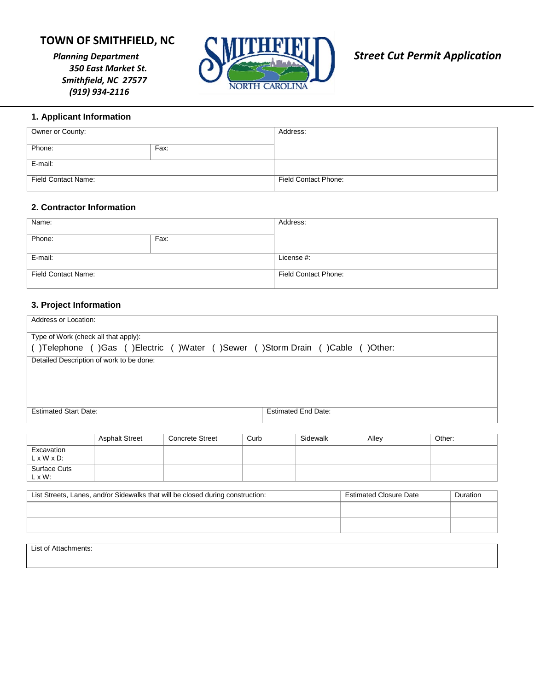# **TOWN OF SMITHFIELD, NC**

*350 East Market St. Smithfield, NC 27577 (919) 934-2116* 



## **1. Applicant Information**

| Owner or County:    |      | Address:             |
|---------------------|------|----------------------|
| Phone:              | Fax: |                      |
| E-mail:             |      |                      |
| Field Contact Name: |      | Field Contact Phone: |

#### **2. Contractor Information**

| Name:                      |      | Address:             |
|----------------------------|------|----------------------|
| Phone:                     | Fax: |                      |
| E-mail:                    |      | License #:           |
| <b>Field Contact Name:</b> |      | Field Contact Phone: |

#### **3. Project Information**

| Address or Location:                                                       |                            |  |
|----------------------------------------------------------------------------|----------------------------|--|
| Type of Work (check all that apply):                                       |                            |  |
| )Telephone ()Gas ()Electric ()Water ()Sewer ()Storm Drain ()Cable ()Other: |                            |  |
| Detailed Description of work to be done:                                   |                            |  |
|                                                                            |                            |  |
|                                                                            |                            |  |
|                                                                            |                            |  |
| <b>Estimated Start Date:</b>                                               | <b>Estimated End Date:</b> |  |
|                                                                            |                            |  |

|                                       | <b>Asphalt Street</b> | <b>Concrete Street</b> | Curb | Sidewalk | Alley | Other: |
|---------------------------------------|-----------------------|------------------------|------|----------|-------|--------|
| Excavation<br>$L \times W \times D$ : |                       |                        |      |          |       |        |
| Surface Cuts<br>$L \times W$ :        |                       |                        |      |          |       |        |

| List Streets, Lanes, and/or Sidewalks that will be closed during construction: | <b>Estimated Closure Date</b> | Duration |
|--------------------------------------------------------------------------------|-------------------------------|----------|
|                                                                                |                               |          |
|                                                                                |                               |          |

List of Attachments: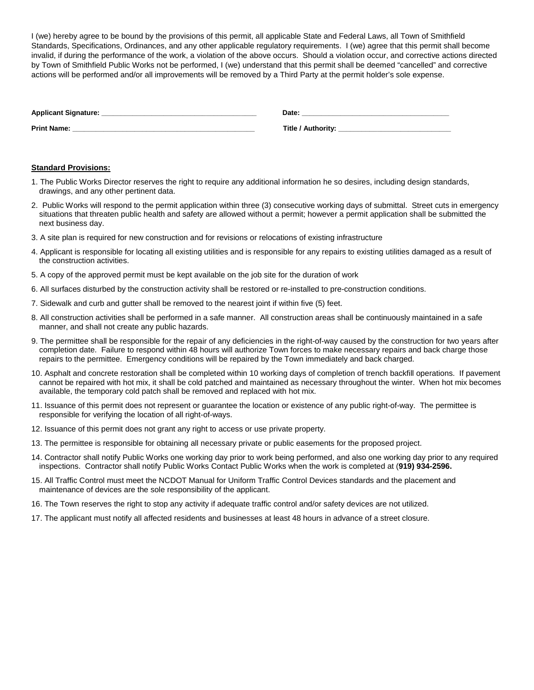I (we) hereby agree to be bound by the provisions of this permit, all applicable State and Federal Laws, all Town of Smithfield Standards, Specifications, Ordinances, and any other applicable regulatory requirements. I (we) agree that this permit shall become invalid, if during the performance of the work, a violation of the above occurs. Should a violation occur, and corrective actions directed by Town of Smithfield Public Works not be performed, I (we) understand that this permit shall be deemed "cancelled" and corrective actions will be performed and/or all improvements will be removed by a Third Party at the permit holder's sole expense.

| Applicant Signature: | Date.              |
|----------------------|--------------------|
| <b>Print Name:</b>   | Title / Authority: |

#### **Standard Provisions:**

- 1. The Public Works Director reserves the right to require any additional information he so desires, including design standards, drawings, and any other pertinent data.
- 2. Public Works will respond to the permit application within three (3) consecutive working days of submittal. Street cuts in emergency situations that threaten public health and safety are allowed without a permit; however a permit application shall be submitted the next business day.
- 3. A site plan is required for new construction and for revisions or relocations of existing infrastructure
- 4. Applicant is responsible for locating all existing utilities and is responsible for any repairs to existing utilities damaged as a result of the construction activities.
- 5. A copy of the approved permit must be kept available on the job site for the duration of work
- 6. All surfaces disturbed by the construction activity shall be restored or re-installed to pre-construction conditions.
- 7. Sidewalk and curb and gutter shall be removed to the nearest joint if within five (5) feet.
- 8. All construction activities shall be performed in a safe manner. All construction areas shall be continuously maintained in a safe manner, and shall not create any public hazards.
- 9. The permittee shall be responsible for the repair of any deficiencies in the right-of-way caused by the construction for two years after completion date. Failure to respond within 48 hours will authorize Town forces to make necessary repairs and back charge those repairs to the permittee. Emergency conditions will be repaired by the Town immediately and back charged.
- 10. Asphalt and concrete restoration shall be completed within 10 working days of completion of trench backfill operations. If pavement cannot be repaired with hot mix, it shall be cold patched and maintained as necessary throughout the winter. When hot mix becomes available, the temporary cold patch shall be removed and replaced with hot mix.
- 11. Issuance of this permit does not represent or guarantee the location or existence of any public right-of-way. The permittee is responsible for verifying the location of all right-of-ways.
- 12. Issuance of this permit does not grant any right to access or use private property.
- 13. The permittee is responsible for obtaining all necessary private or public easements for the proposed project.
- 14. Contractor shall notify Public Works one working day prior to work being performed, and also one working day prior to any required inspections. Contractor shall notify Public Works Contact Public Works when the work is completed at (**919) 934-2596.**
- 15. All Traffic Control must meet the NCDOT Manual for Uniform Traffic Control Devices standards and the placement and maintenance of devices are the sole responsibility of the applicant.
- 16. The Town reserves the right to stop any activity if adequate traffic control and/or safety devices are not utilized.
- 17. The applicant must notify all affected residents and businesses at least 48 hours in advance of a street closure.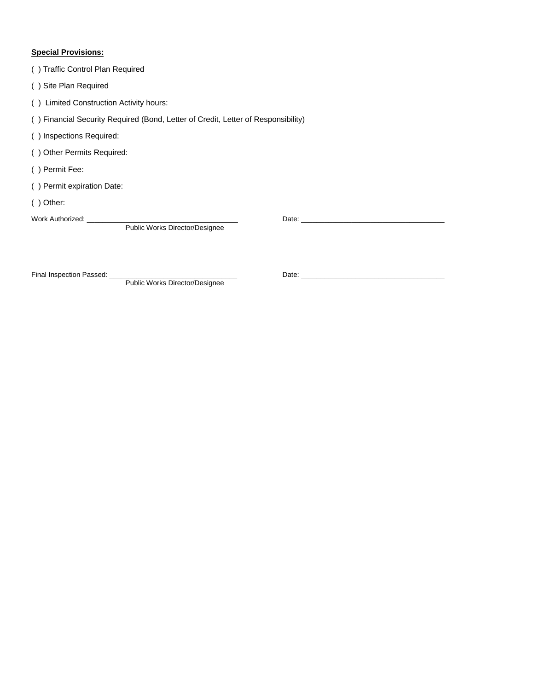### **Special Provisions:**

| () Traffic Control Plan Required                                                  |       |
|-----------------------------------------------------------------------------------|-------|
| Site Plan Required                                                                |       |
| Limited Construction Activity hours:                                              |       |
| () Financial Security Required (Bond, Letter of Credit, Letter of Responsibility) |       |
| () Inspections Required:                                                          |       |
| <b>Other Permits Required:</b><br>(                                               |       |
| () Permit Fee:                                                                    |       |
| () Permit expiration Date:                                                        |       |
| Other:                                                                            |       |
| Work Authorized:                                                                  | Date: |
| Public Works Director/Designee                                                    |       |

Final Inspection Passed: \_\_\_\_\_\_\_\_\_\_\_\_\_\_\_\_\_\_\_\_\_\_\_\_\_\_\_\_\_\_\_\_\_ Date: \_\_\_\_\_\_\_\_\_\_\_\_\_\_\_\_\_\_\_\_\_\_\_\_\_\_\_\_\_\_\_\_\_\_\_\_\_

Public Works Director/Designee